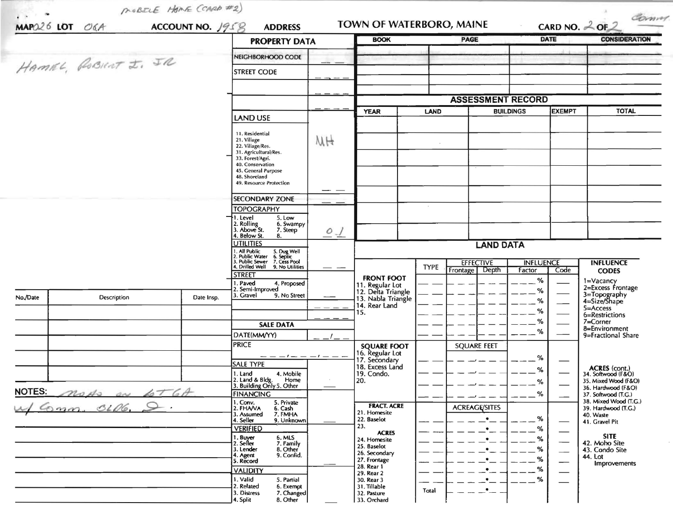|                                 |             |                                                                                        | <b>PROPERTY DATA</b>                                          |                          | <b>BOOK</b>                              |                  | <b>PAGE</b>            |                                   | <b>DATE</b>                                                                                                                                                                                                                                                                                                                                                                                                                                                                | <b>CONSIDERATION</b>                         |
|---------------------------------|-------------|----------------------------------------------------------------------------------------|---------------------------------------------------------------|--------------------------|------------------------------------------|------------------|------------------------|-----------------------------------|----------------------------------------------------------------------------------------------------------------------------------------------------------------------------------------------------------------------------------------------------------------------------------------------------------------------------------------------------------------------------------------------------------------------------------------------------------------------------|----------------------------------------------|
|                                 |             |                                                                                        |                                                               |                          |                                          |                  |                        |                                   |                                                                                                                                                                                                                                                                                                                                                                                                                                                                            |                                              |
| HAMEL, ROBINT I. JR             |             |                                                                                        | NEIGHBORHOOD CODE                                             |                          |                                          |                  |                        |                                   |                                                                                                                                                                                                                                                                                                                                                                                                                                                                            |                                              |
|                                 |             |                                                                                        | <b>STREET CODE</b>                                            |                          |                                          |                  |                        |                                   |                                                                                                                                                                                                                                                                                                                                                                                                                                                                            |                                              |
|                                 |             |                                                                                        |                                                               |                          |                                          |                  |                        |                                   |                                                                                                                                                                                                                                                                                                                                                                                                                                                                            |                                              |
|                                 |             |                                                                                        |                                                               | <b>ASSESSMENT RECORD</b> |                                          |                  |                        |                                   |                                                                                                                                                                                                                                                                                                                                                                                                                                                                            |                                              |
|                                 |             |                                                                                        |                                                               |                          | <b>YEAR</b>                              | <b>LAND</b>      |                        | <b>EXEMPT</b><br><b>BUILDINGS</b> |                                                                                                                                                                                                                                                                                                                                                                                                                                                                            | <b>TOTAL</b>                                 |
|                                 |             |                                                                                        | <b>LAND USE</b>                                               |                          |                                          |                  |                        |                                   |                                                                                                                                                                                                                                                                                                                                                                                                                                                                            |                                              |
|                                 |             |                                                                                        | 11. Residential<br>21. Village                                | MH                       |                                          |                  |                        |                                   |                                                                                                                                                                                                                                                                                                                                                                                                                                                                            |                                              |
|                                 |             |                                                                                        | 22. Village/Res.<br>31. Agricultural/Res.                     |                          |                                          |                  |                        |                                   |                                                                                                                                                                                                                                                                                                                                                                                                                                                                            |                                              |
|                                 |             |                                                                                        | 33. Forest/Agri.<br>40. Conservation                          |                          |                                          |                  |                        |                                   |                                                                                                                                                                                                                                                                                                                                                                                                                                                                            |                                              |
|                                 |             |                                                                                        | 45. General Purpose<br>48. Shoreland                          |                          |                                          |                  |                        |                                   |                                                                                                                                                                                                                                                                                                                                                                                                                                                                            |                                              |
|                                 |             |                                                                                        | 49. Resource Protection                                       |                          |                                          |                  |                        |                                   |                                                                                                                                                                                                                                                                                                                                                                                                                                                                            |                                              |
|                                 |             |                                                                                        | <b>SECONDARY ZONE</b>                                         |                          |                                          |                  |                        |                                   |                                                                                                                                                                                                                                                                                                                                                                                                                                                                            |                                              |
|                                 |             |                                                                                        | <b>TOPOGRAPHY</b>                                             |                          |                                          |                  |                        |                                   |                                                                                                                                                                                                                                                                                                                                                                                                                                                                            |                                              |
|                                 |             |                                                                                        | 1. Level<br>5. Low<br>2. Rolling<br>3. Above St.<br>6. Swampy |                          |                                          |                  |                        |                                   |                                                                                                                                                                                                                                                                                                                                                                                                                                                                            |                                              |
|                                 |             |                                                                                        | 7. Steep<br>4. Below St.<br>8.                                | $0\frac{1}{2}$           |                                          |                  |                        |                                   |                                                                                                                                                                                                                                                                                                                                                                                                                                                                            |                                              |
|                                 |             |                                                                                        | <b>UTILITIES</b>                                              |                          | <b>LAND DATA</b>                         |                  |                        |                                   |                                                                                                                                                                                                                                                                                                                                                                                                                                                                            |                                              |
|                                 |             | 1. All Public 5. Dug Well<br>2. Public Water 6. Septic<br>3. Public Sewer 7. Cess Pool |                                                               |                          |                                          | <b>EFFECTIVE</b> | <b>INFLUENCE</b>       |                                   | <b>INFLUENCE</b>                                                                                                                                                                                                                                                                                                                                                                                                                                                           |                                              |
|                                 |             |                                                                                        | 9. No Utilities<br>4. Drilled Well<br><b>STREET</b>           |                          |                                          | <b>TYPE</b>      | Depth<br>Frontage      | Factor                            | Code                                                                                                                                                                                                                                                                                                                                                                                                                                                                       | <b>CODES</b>                                 |
|                                 |             |                                                                                        | 1. Paved<br>4. Proposed<br>2. Semi-Improved                   |                          | <b>FRONT FOOT</b><br>11. Regular Lot     |                  |                        | %                                 |                                                                                                                                                                                                                                                                                                                                                                                                                                                                            | 1=Vacancy<br>2=Excess Frontage               |
| No./Date                        | Description | Date Insp.                                                                             | 3. Gravel<br>9. No Street                                     |                          | 12. Delta Triangle<br>13. Nabla Triangle |                  |                        | ℅<br>℅                            |                                                                                                                                                                                                                                                                                                                                                                                                                                                                            | 3=Topography<br>4=Size/Shape                 |
|                                 |             |                                                                                        |                                                               |                          | 14. Rear Land<br>15.                     |                  |                        | %                                 |                                                                                                                                                                                                                                                                                                                                                                                                                                                                            | $5 =$ Access<br>6=Restrictions               |
|                                 |             |                                                                                        | <b>SALE DATA</b>                                              |                          |                                          |                  |                        | ℅                                 |                                                                                                                                                                                                                                                                                                                                                                                                                                                                            | 7=Corner                                     |
|                                 |             |                                                                                        | DATE(MM/YY)                                                   |                          |                                          |                  |                        | ℅                                 |                                                                                                                                                                                                                                                                                                                                                                                                                                                                            | 8=Environment<br>9=Fractional Share          |
|                                 |             |                                                                                        | <b>PRICE</b>                                                  |                          | <b>SQUARE FOOT</b>                       |                  | <b>SQUARE FEET</b>     |                                   |                                                                                                                                                                                                                                                                                                                                                                                                                                                                            |                                              |
|                                 |             |                                                                                        | $--   -    -$<br><b>SALE TYPE</b>                             |                          | 16. Regular Lot<br>17. Secondary         |                  |                        | %                                 |                                                                                                                                                                                                                                                                                                                                                                                                                                                                            |                                              |
|                                 |             |                                                                                        | 1. Land<br>4. Mobile                                          |                          | 18. Excess Land<br>19. Condo.            |                  |                        | ℅                                 |                                                                                                                                                                                                                                                                                                                                                                                                                                                                            | <b>ACRES</b> (cont.)<br>34. Softwood (F&O)   |
|                                 |             |                                                                                        | 2. Land & Bldg.<br>Home<br>3. Building Only 5. Other          |                          | 20.                                      |                  |                        | %                                 |                                                                                                                                                                                                                                                                                                                                                                                                                                                                            | 35. Mixed Wood (F&O)<br>36. Hardwood (F&O)   |
| <b>NOTES:</b><br>nods on fot GA |             |                                                                                        | <b>FINANCING</b>                                              |                          |                                          |                  |                        | %                                 |                                                                                                                                                                                                                                                                                                                                                                                                                                                                            | 37. Softwood (T.G.)<br>38. Mixed Wood (T.G.) |
| onn. 0106.                      |             |                                                                                        | 1. Conv.<br>2. FHA/VA<br>5. Private<br>6. Cash                |                          | <b>FRACT. ACRE</b><br>21. Homesite       |                  | <b>ACREAGE/SITES</b>   |                                   |                                                                                                                                                                                                                                                                                                                                                                                                                                                                            | 39. Hardwood (T.G.)                          |
|                                 |             |                                                                                        | 7. FMHA<br>3. Assumed<br>4. Seller<br>9. Unknown              |                          | 22. Baselot                              |                  | $\bullet$              | %                                 |                                                                                                                                                                                                                                                                                                                                                                                                                                                                            | 40. Waste<br>41. Gravel Pit                  |
|                                 |             |                                                                                        | <b>VERIFIED</b><br>6. MLS                                     |                          | 23.<br><b>ACRES</b>                      |                  | $\bullet$              | %                                 |                                                                                                                                                                                                                                                                                                                                                                                                                                                                            | <b>SITE</b>                                  |
|                                 |             |                                                                                        | 1. Buyer<br>2. Seller<br>7. Family<br>8. Other<br>3. Lender   |                          | 24. Homesite<br>25. Baselot              |                  | $\bullet$<br>$\bullet$ | ℅<br>%                            | $\frac{1}{2}$                                                                                                                                                                                                                                                                                                                                                                                                                                                              | 42. Moho Site<br>43. Condo Site              |
|                                 |             |                                                                                        | 9. Confid.<br>4. Agent<br>5. Record                           |                          | 26. Secondary<br>27. Frontage            |                  | $\bullet$              | %                                 | $\frac{1}{2} \left( \frac{1}{2} \right) \left( \frac{1}{2} \right) \left( \frac{1}{2} \right) \left( \frac{1}{2} \right) \left( \frac{1}{2} \right) \left( \frac{1}{2} \right) \left( \frac{1}{2} \right) \left( \frac{1}{2} \right) \left( \frac{1}{2} \right) \left( \frac{1}{2} \right) \left( \frac{1}{2} \right) \left( \frac{1}{2} \right) \left( \frac{1}{2} \right) \left( \frac{1}{2} \right) \left( \frac{1}{2} \right) \left( \frac{1}{2} \right) \left( \frac$ | 44. Lot                                      |
|                                 |             |                                                                                        | <b>VALIDITY</b>                                               |                          | 28. Rear 1<br>29. Rear 2                 |                  | $\cdot$                | ℅                                 | $\overbrace{\phantom{aaaaa}}$                                                                                                                                                                                                                                                                                                                                                                                                                                              | Improvements                                 |
|                                 |             |                                                                                        |                                                               |                          |                                          |                  |                        |                                   |                                                                                                                                                                                                                                                                                                                                                                                                                                                                            |                                              |
|                                 |             |                                                                                        | 1. Valid<br>5. Partial<br>2. Related<br>6. Exempt             |                          | 30. Rear 3<br>31. Tillable               |                  | $\bullet$              | ℅                                 |                                                                                                                                                                                                                                                                                                                                                                                                                                                                            |                                              |